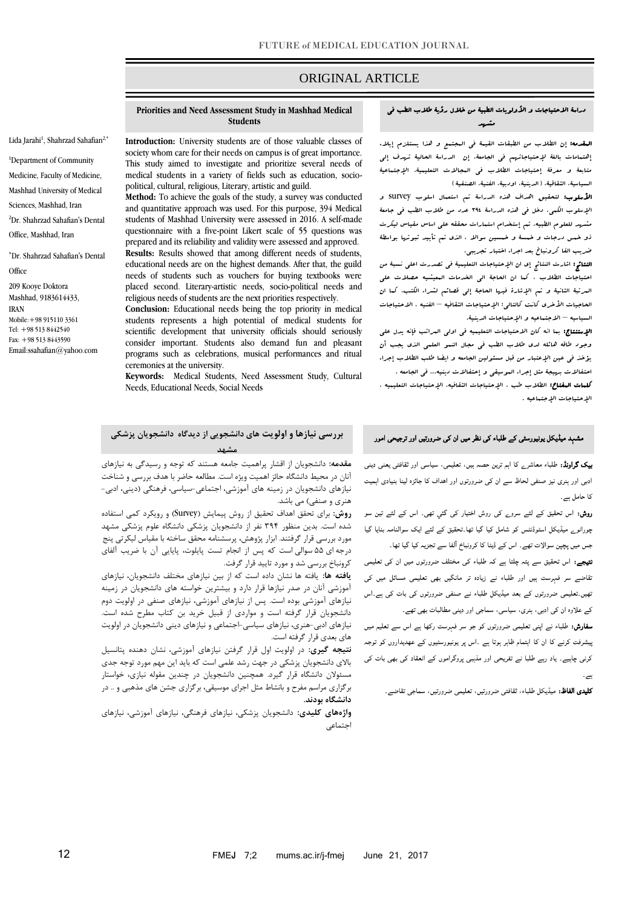# ORIGINAL ARTICLE

## دراسة الاحتیاجات و الأولویات الطبیة من خلال رؤیة طلاب الطب في مشهد

المقدمه: إن الطالب من الطبقات القیمة في المجتمع و هذا یستلزم إیالء إهتمامات بالغة إلحتیاجاتهم في الجامعة، إن الدراسة الحالیة تهدف إلي متابعة و معرفة إحتیاجات الطالب في المجاالت التعلیمیة، اإلجتماعیة السیاسیة، الثقاقیة، ( الدینیة، اودبیة، الفنیة، الصنفیة )

األسلوب: لتحقیق اهداف هذه الدراسة تم استعمال اسلوب survey و اإلسلوب الکمي. دخل في هذه الدراسة 493 عدد من طالب الطب في جامعة مشهد للعلوم الطبیه. تم إستخدام استمارات محققه علي اساس مقیاس لیکرت ذو خمس درجات و خمسة و خمسین سواال ، الذي تم تأیید ثبوتها بواسطة ضریب الفا کرونباخ بعد اجراء اختبار تجریبي.

النتائج: اشارت النتائج إي ان اإلحتیاجات التعلیمیة في تصدرت اعلي نسبة من احتیاجات الطالب ، کما ان الحاجة الي الخدمات المعیشیه حصالت علي المرتبة الثانیة و تم اإلشارة فیها الحاجة إلي قصائم لشراء الکتب، کما ان الحاجیات الأخرى کانت کالتال<sub>ی</sub>: الإحتیاجات الثقافیه – الفنیه ، الاحتیاجات السیاسیه – االجتماعیه و اإلحتیاجات الدینیة.

اإلستنتاج: بما انه کان االحتیاجات التعلیمیه في اولي المراتب فإنه یدل علي وجود طاقه هائله لدي طالب الطب في مجال النمو العلمي الذي یجب أن یؤخذ في عین اإلعتبار من قبل مسئولین الجامعه و ایضا طلب الطالب إجراء احتفاالت بهیجة مثل إجراء الموسیقي و إحتفاالت دینیه... في الجامعه .

کلمات المفتاح: الطالب طب ، اإلحتیاجات الثقافیه، اإلحتیاجات التعلیمیه ، اإلحتیاجات اإلجتماعیه .

## **Priorities and Need Assessment Study in Mashhad Medical Students**

**Introduction:** University students are of those valuable classes of society whom care for their needs on campus is of great importance. This study aimed to investigate and prioritize several needs of medical students in a variety of fields such as education, sociopolitical, cultural, religious, Literary, artistic and guild.

**Method:** To achieve the goals of the study, a survey was conducted and quantitative approach was used. For this purpose, 394 Medical students of Mashhad University were assessed in 2016. A self-made questionnaire with a five-point Likert scale of 55 questions was prepared and its reliability and validity were assessed and approved. **Results:** Results showed that among different needs of students, educational needs are on the highest demands. After that, the guild needs of students such as vouchers for buying textbooks were placed second. Literary-artistic needs, socio-political needs and religious needs of students are the next priorities respectively.

**Conclusion:** Educational needs being the top priority in medical students represents a high potential of medical students for scientific development that university officials should seriously consider important. Students also demand fun and pleasant programs such as celebrations, musical performances and ritual ceremonies at the university.

**Keywords:** Medical Students, Need Assessment Study, Cultural Needs, Educational Needs, Social Needs

## **بررسی نیازها و اولویت های دانشجویی از دیدگاه دانشجویان پزشکی مشهد**

**مقدمه:** دانشجویان از اقشار پراهمیت جامعه هستند که توجه و رسیدگی به نیازهای آنان در محیط دانشگاه حائز اهمیت ویژه است. مطالعه حاضر با هدف بررسی و شناخت نیازهای دانشجویان در زمینه های آموزشی، اجتماعی-سیاسی، فرهنگی )دینی، ادبی- هنری و صنفی) می باشد.

**روش:** برای تحقق اهداف تحقیق از روش پیمایش )Survey )و رویکرد کمی استفاده شده است. بدین منظور 493 نفر از دانشجویان پزشکی دانشگاه علوم پزشکی مشهد مورد بررسی قرار گرفتند. ابزار پژوهش، پرسشنامه محقق ساخته با مقیاس لیکرتی پنج درجه ای 55 سوالی است که پس از انجام تست پایلوت، پایایی آن با ضریب آلفای کرونباخ بررسی شد و مورد تایید قرار گرفت.

**یافته ها:** یافته ها نشان داده است که از بین نیازهای مختلف دانشجویان، نیازهای آموزشی آنان در صدر نیازها قرار دارد و بیشترین خواسته های دانشجویان در زمینه نیازهای آموزشی بوده است. پس از نیازهای آموزشی، نیازهای صنفی در اولویت دوم دانشجویان قرار گرفته است و مواردی از قبیل خرید بن کتاب مطرح شده است. نیازهای ادبی-هنری، نیازهای سیاسی-اجتماعی و نیازهای دینی دانشجویان در اولویت های بعدی قرار گرفته است.

**نتیجه گیری:** در اولویت اول قرار گرفتن نیازهای آموزشی، نشان دهنده پتانسیل باالی دانشجویان پزشکی در جهت رشد علمی است که باید این مهم مورد توجه جدی مسئوالن دانشگاه قرار گیرد. همچنین دانشجویان در چندین مقوله نیازی، خواستار برگزاری مراسم مفرح و بانشاط مثل اجرای موسیقی، برگزاری جشن های مذهبی و .. در **دانشگاه بودند.** 

**واژههای کلیدی:** دانشجویان پزشکی، نیازهای فرهنگی، نیازهای آموزشی، نیازهای اجتماعی

بیک گراوںڈ: طلباء معاشرے کا اہم ترین حصہ ہیں، تعلیمی، سیاسی اور ثقافتی یعنی دینی ادبی اور ہنری نیز صنفی لحاظ سے ان کی ضرورتوں اور اھداف کا جائزہ لینا بنیادی اہمیت

مشہد میڈیکل یونیورسٹی کے طلباء کی نظر میں ان کی ضرورتیں اور ترجیحی امور

کا حامل ہے۔ روش: اس تحقیق کے لئے سروے کی روش اختیار کی گئي تھی۔ اس کے لئے تین سو

چورانوے میڈیکل اسٹوڈنٹس کو شامل کیا گيا تھا۔تحقیق کے لئے ایک سوالنامہ بنایا گیا جس میں پچپن سوالات تھے۔ اس کے ڈیٹا کا کرونباخ ا لفا سے تجزیہ کیا گيا تھا۔

۔<br>نتیجے: اس تحقیق سے پتہ چلتا ہے کہ طلباء کی مختلف ضرورتوں میں ان کی تعلیمی تقاضے سر فہرست ہیں اور طلباء نے زیادہ تر مانگيں بھی تعلیمی مسائل میں کی تھیں۔تعلیمی ضرورتوں کے بعد میڈیکل طلباء نے صنفی ضرورتوں کی بات کی ہے۔اس کے علاوہ ان کی ادبی، ہنری، سیاسی، سماجی اور دینی مطالبات بھی تھے۔

سفارش: طلباء نے اپنی تعلیمی ضرورتوں کو جو سر فہرست رکھا ہے اس سے تعلیم میں پیشرفت کرنے کا ان کا اہتمام ظاہر ہوتا ہے ۔اس پر یونیورسٹیوں کے عھدیداروں کو توجہ کرنی چاہیے۔ یاد رہے طلبا نے تفریحی اور مذہبی پروگراموں کے انعقاد کی بھی بات کی ہے۔

کلیدی الفاظ: میڈیکل طلباء، ثقافتی ضرورتیں، تعلیمی ضرورتیں، سماجی تقاضے۔

Lida Jarahi<sup>1</sup>, Shahrzad Sahafian<sup>2,\*</sup>

<sup>1</sup>Department of Community Medicine, Faculty of Medicine, Mashhad University of Medical Sciences, Mashhad, Iran <sup>2</sup>Dr. Shahrzad Sahafian's Dental Office, Mashhad, Iran

Dr. Shahrzad Sahafian's Dental **Office** 209 Kooye Doktora Mashhad, 9183614433, IRAN Mobile:+98 915110 3361

Tel: +98 513 8442540 Fax: +98 513 8443590 Emai[l:ssahafian@yahoo.com](mailto:ssahafian@yahoo.com)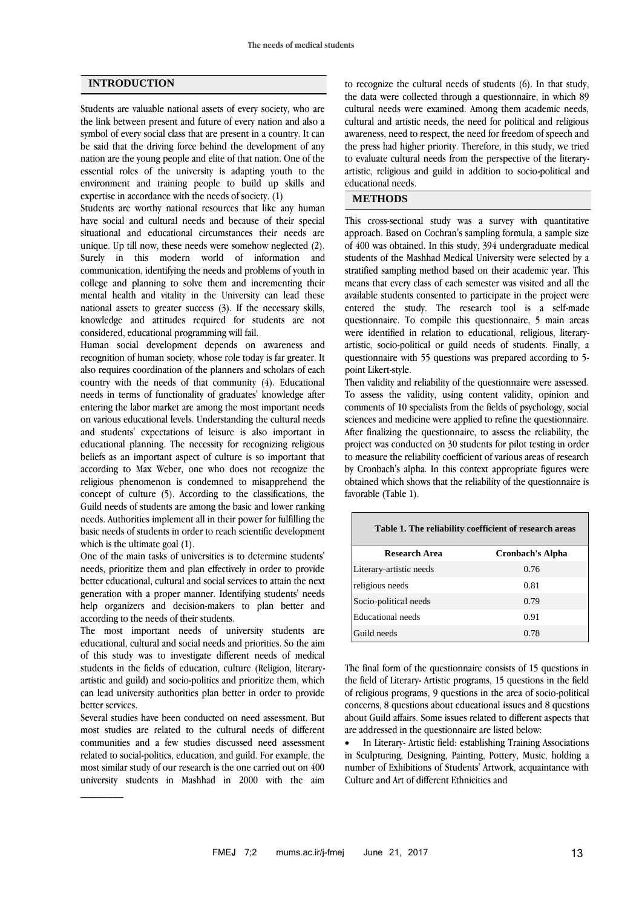## **INTRODUCTION**

Students are valuable national assets of every society, who are the link between present and future of every nation and also a symbol of every social class that are present in a country. It can be said that the driving force behind the development of any nation are the young people and elite of that nation. One of the essential roles of the university is adapting youth to the environment and training people to build up skills and expertise in accordance with the needs of society. (1)

Students are worthy national resources that like any human have social and cultural needs and because of their special situational and educational circumstances their needs are unique. Up till now, these needs were somehow neglected (2). Surely in this modern world of information and communication, identifying the needs and problems of youth in college and planning to solve them and incrementing their mental health and vitality in the University can lead these national assets to greater success (3). If the necessary skills, knowledge and attitudes required for students are not considered, educational programming will fail.

Human social development depends on awareness and recognition of human society, whose role today is far greater. It also requires coordination of the planners and scholars of each country with the needs of that community (4). Educational needs in terms of functionality of graduates' knowledge after entering the labor market are among the most important needs on various educational levels. Understanding the cultural needs and students' expectations of leisure is also important in educational planning. The necessity for recognizing religious beliefs as an important aspect of culture is so important that according to Max Weber, one who does not recognize the religious phenomenon is condemned to misapprehend the concept of culture (5). According to the classifications, the Guild needs of students are among the basic and lower ranking needs. Authorities implement all in their power for fulfilling the basic needs of students in order to reach scientific development which is the ultimate goal  $(1)$ .

One of the main tasks of universities is to determine students' needs, prioritize them and plan effectively in order to provide better educational, cultural and social services to attain the next generation with a proper manner. Identifying students' needs help organizers and decision-makers to plan better and according to the needs of their students.

The most important needs of university students are educational, cultural and social needs and priorities. So the aim of this study was to investigate different needs of medical students in the fields of education, culture (Religion, literaryartistic and guild) and socio-politics and prioritize them, which can lead university authorities plan better in order to provide better services.

Several studies have been conducted on need assessment. But most studies are related to the cultural needs of different communities and a few studies discussed need assessment related to social-politics, education, and guild. For example, the most similar study of our research is the one carried out on 400 university students in Mashhad in 2000 with the aim

 $\frac{1}{2}$ 

to recognize the cultural needs of students (6). In that study, the data were collected through a questionnaire, in which 89 cultural needs were examined. Among them academic needs, cultural and artistic needs, the need for political and religious awareness, need to respect, the need for freedom of speech and the press had higher priority. Therefore, in this study, we tried to evaluate cultural needs from the perspective of the literaryartistic, religious and guild in addition to socio-political and educational needs.

## **METHODS**

This cross-sectional study was a survey with quantitative approach. Based on Cochran's sampling formula, a sample size of 400 was obtained. In this study, 394 undergraduate medical students of the Mashhad Medical University were selected by a stratified sampling method based on their academic year. This means that every class of each semester was visited and all the available students consented to participate in the project were entered the study. The research tool is a self-made questionnaire. To compile this questionnaire, 5 main areas were identified in relation to educational, religious, literaryartistic, socio-political or guild needs of students. Finally, a questionnaire with 55 questions was prepared according to 5 point Likert-style.

Then validity and reliability of the questionnaire were assessed. To assess the validity, using content validity, opinion and comments of 10 specialists from the fields of psychology, social sciences and medicine were applied to refine the questionnaire. After finalizing the questionnaire, to assess the reliability, the project was conducted on 30 students for pilot testing in order to measure the reliability coefficient of various areas of research by Cronbach's alpha. In this context appropriate figures were obtained which shows that the reliability of the questionnaire is favorable (Table 1).

| Table 1. The reliability coefficient of research areas |                         |  |
|--------------------------------------------------------|-------------------------|--|
| Research Area                                          | <b>Cronbach's Alpha</b> |  |
| Literary-artistic needs                                | 0.76                    |  |
| religious needs                                        | 0.81                    |  |
| Socio-political needs                                  | 0.79                    |  |
| <b>Educational</b> needs                               | 0.91                    |  |
| Guild needs                                            | 0.78                    |  |

The final form of the questionnaire consists of 15 questions in the field of Literary- Artistic programs, 15 questions in the field of religious programs, 9 questions in the area of socio-political concerns, 8 questions about educational issues and 8 questions about Guild affairs. Some issues related to different aspects that are addressed in the questionnaire are listed below:

 In Literary- Artistic field: establishing Training Associations in Sculpturing, Designing, Painting, Pottery, Music, holding a number of Exhibitions of Students' Artwork, acquaintance with Culture and Art of different Ethnicities and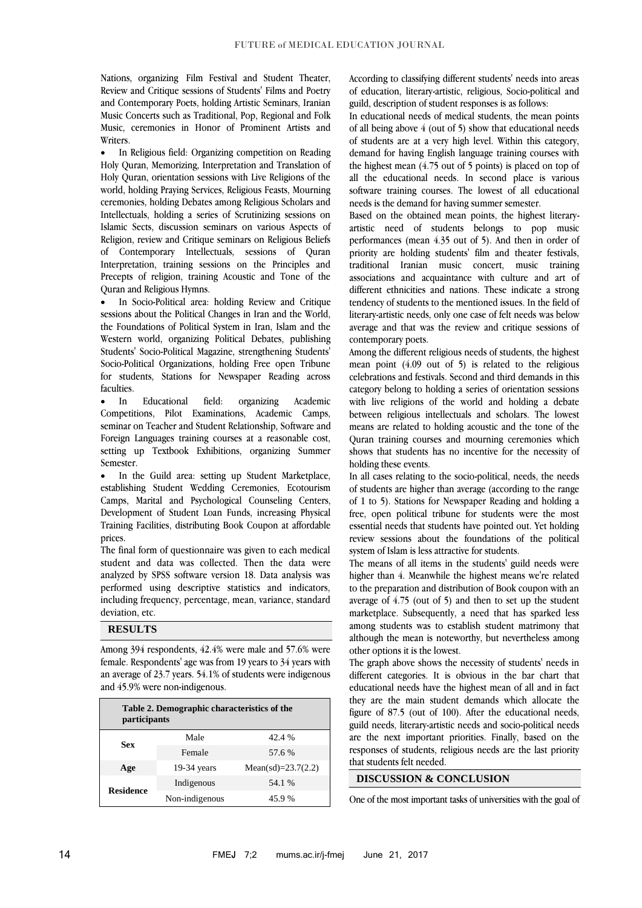Nations, organizing Film Festival and Student Theater, Review and Critique sessions of Students' Films and Poetry and Contemporary Poets, holding Artistic Seminars, Iranian Music Concerts such as Traditional, Pop, Regional and Folk Music, ceremonies in Honor of Prominent Artists and **Writers** 

 In Religious field: Organizing competition on Reading Holy Quran, Memorizing, Interpretation and Translation of Holy Quran, orientation sessions with Live Religions of the world, holding Praying Services, Religious Feasts, Mourning ceremonies, holding Debates among Religious Scholars and Intellectuals, holding a series of Scrutinizing sessions on Islamic Sects, discussion seminars on various Aspects of Religion, review and Critique seminars on Religious Beliefs of Contemporary Intellectuals, sessions of Quran Interpretation, training sessions on the Principles and Precepts of religion, training Acoustic and Tone of the Quran and Religious Hymns.

 In Socio-Political area: holding Review and Critique sessions about the Political Changes in Iran and the World, the Foundations of Political System in Iran, Islam and the Western world, organizing Political Debates, publishing Students' Socio-Political Magazine, strengthening Students' Socio-Political Organizations, holding Free open Tribune for students, Stations for Newspaper Reading across faculties.

• In Educational field: organizing Academic Competitions, Pilot Examinations, Academic Camps, seminar on Teacher and Student Relationship, Software and Foreign Languages training courses at a reasonable cost, setting up Textbook Exhibitions, organizing Summer Semester.

 In the Guild area: setting up Student Marketplace, establishing Student Wedding Ceremonies, Ecotourism Camps, Marital and Psychological Counseling Centers, Development of Student Loan Funds, increasing Physical Training Facilities, distributing Book Coupon at affordable prices.

The final form of questionnaire was given to each medical student and data was collected. Then the data were analyzed by SPSS software version 18. Data analysis was performed using descriptive statistics and indicators, including frequency, percentage, mean, variance, standard deviation, etc.

## **RESULTS**

Among 394 respondents, 42.4% were male and 57.6% were female. Respondents' age was from 19 years to 34 years with an average of 23.7 years. 54.1% of students were indigenous and 45.9% were non-indigenous.

| Table 2. Demographic characteristics of the<br>participants |                |                       |
|-------------------------------------------------------------|----------------|-----------------------|
| Sex                                                         | Male           | 42.4 %                |
|                                                             | Female         | 57.6 %                |
| Age                                                         | $19-34$ years  | Mean(sd)= $23.7(2.2)$ |
| <b>Residence</b>                                            | Indigenous     | 54.1 %                |
|                                                             | Non-indigenous | 45.9%                 |

According to classifying different students' needs into areas of education, literary-artistic, religious, Socio-political and guild, description of student responses is as follows:

In educational needs of medical students, the mean points of all being above 4 (out of 5) show that educational needs of students are at a very high level. Within this category, demand for having English language training courses with the highest mean (4.75 out of 5 points) is placed on top of all the educational needs. In second place is various software training courses. The lowest of all educational needs is the demand for having summer semester.

Based on the obtained mean points, the highest literaryartistic need of students belongs to pop music performances (mean 4.35 out of 5). And then in order of priority are holding students' film and theater festivals, traditional Iranian music concert, music training associations and acquaintance with culture and art of different ethnicities and nations. These indicate a strong tendency of students to the mentioned issues. In the field of literary-artistic needs, only one case of felt needs was below average and that was the review and critique sessions of contemporary poets.

Among the different religious needs of students, the highest mean point (4.09 out of 5) is related to the religious celebrations and festivals. Second and third demands in this category belong to holding a series of orientation sessions with live religions of the world and holding a debate between religious intellectuals and scholars. The lowest means are related to holding acoustic and the tone of the Quran training courses and mourning ceremonies which shows that students has no incentive for the necessity of holding these events.

In all cases relating to the socio-political, needs, the needs of students are higher than average (according to the range of 1 to 5). Stations for Newspaper Reading and holding a free, open political tribune for students were the most essential needs that students have pointed out. Yet holding review sessions about the foundations of the political system of Islam is less attractive for students.

The means of all items in the students' guild needs were higher than 4. Meanwhile the highest means we're related to the preparation and distribution of Book coupon with an average of 4.75 (out of 5) and then to set up the student marketplace. Subsequently, a need that has sparked less among students was to establish student matrimony that although the mean is noteworthy, but nevertheless among other options it is the lowest.

The graph above shows the necessity of students' needs in different categories. It is obvious in the bar chart that educational needs have the highest mean of all and in fact they are the main student demands which allocate the figure of 87.5 (out of 100). After the educational needs, guild needs, literary-artistic needs and socio-political needs are the next important priorities. Finally, based on the responses of students, religious needs are the last priority that students felt needed.

## **DISCUSSION & CONCLUSION**

One of the most important tasks of universities with the goal of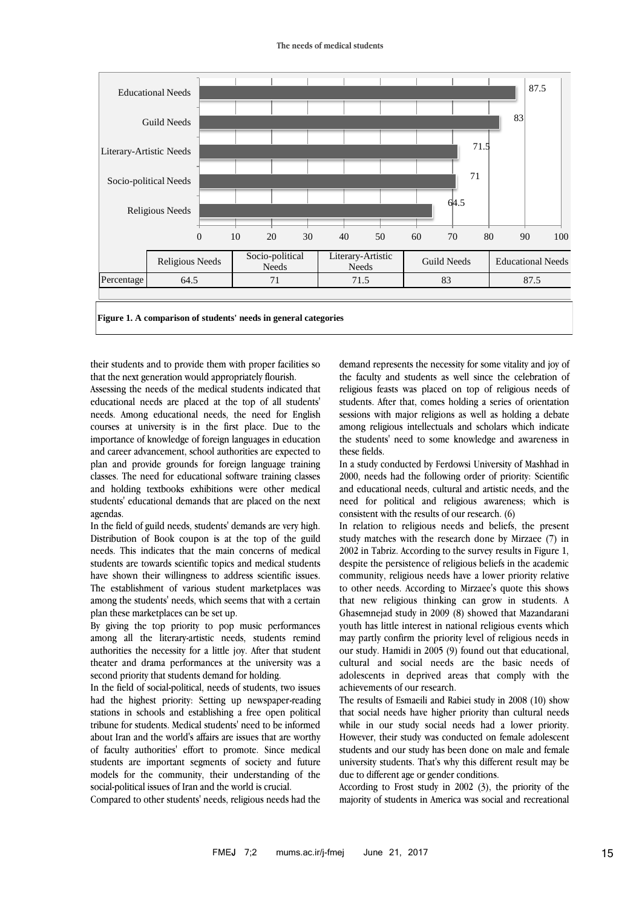#### **The needs of medical students**



**Figure 1. A comparison of students' needs in general categories**

their students and to provide them with proper facilities so that the next generation would appropriately flourish.

Assessing the needs of the medical students indicated that educational needs are placed at the top of all students' needs. Among educational needs, the need for English courses at university is in the first place. Due to the importance of knowledge of foreign languages in education and career advancement, school authorities are expected to plan and provide grounds for foreign language training classes. The need for educational software training classes and holding textbooks exhibitions were other medical students' educational demands that are placed on the next agendas.

In the field of guild needs, students' demands are very high. Distribution of Book coupon is at the top of the guild needs. This indicates that the main concerns of medical students are towards scientific topics and medical students have shown their willingness to address scientific issues. The establishment of various student marketplaces was among the students' needs, which seems that with a certain plan these marketplaces can be set up.

By giving the top priority to pop music performances among all the literary-artistic needs, students remind authorities the necessity for a little joy. After that student theater and drama performances at the university was a second priority that students demand for holding.

In the field of social-political, needs of students, two issues had the highest priority: Setting up newspaper-reading stations in schools and establishing a free open political tribune for students. Medical students' need to be informed about Iran and the world's affairs are issues that are worthy of faculty authorities' effort to promote. Since medical students are important segments of society and future models for the community, their understanding of the social-political issues of Iran and the world is crucial.

Compared to other students' needs, religious needs had the

demand represents the necessity for some vitality and joy of the faculty and students as well since the celebration of religious feasts was placed on top of religious needs of students. After that, comes holding a series of orientation sessions with major religions as well as holding a debate among religious intellectuals and scholars which indicate the students' need to some knowledge and awareness in these fields.

In a study conducted by Ferdowsi University of Mashhad in 2000, needs had the following order of priority: Scientific and educational needs, cultural and artistic needs, and the need for political and religious awareness; which is consistent with the results of our research. (6)

In relation to religious needs and beliefs, the present study matches with the research done by Mirzaee (7) in 2002 in Tabriz. According to the survey results in Figure 1, despite the persistence of religious beliefs in the academic community, religious needs have a lower priority relative to other needs. According to Mirzaee's quote this shows that new religious thinking can grow in students. A Ghasemnejad study in 2009 (8) showed that Mazandarani youth has little interest in national religious events which may partly confirm the priority level of religious needs in our study. Hamidi in 2005 (9) found out that educational, cultural and social needs are the basic needs of adolescents in deprived areas that comply with the achievements of our research.

The results of Esmaeili and Rabiei study in 2008 (10) show that social needs have higher priority than cultural needs while in our study social needs had a lower priority. However, their study was conducted on female adolescent students and our study has been done on male and female university students. That's why this different result may be due to different age or gender conditions.

According to Frost study in 2002 (3), the priority of the majority of students in America was social and recreational